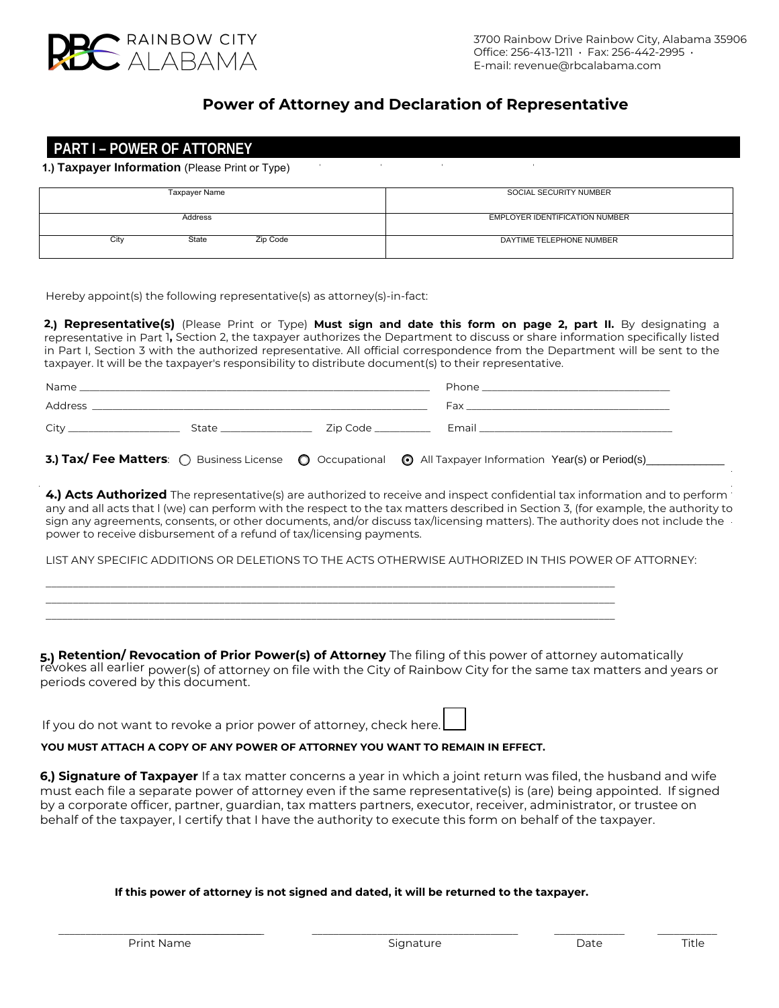

## **Power of Attorney and Declaration of Representative**

# **PART I – POWER OF ATTORNEY**

**1.) Taxpayer Information** (Please Print or Type)  $\overline{\phantom{a}}$ 

| Taxpayer Name             | SOCIAL SECURITY NUMBER         |  |  |
|---------------------------|--------------------------------|--|--|
|                           |                                |  |  |
|                           |                                |  |  |
|                           |                                |  |  |
| Address                   | EMPLOYER IDENTIFICATION NUMBER |  |  |
|                           |                                |  |  |
|                           |                                |  |  |
| State<br>Zip Code<br>City | DAYTIME TELEPHONE NUMBER       |  |  |
|                           |                                |  |  |
|                           |                                |  |  |
|                           |                                |  |  |

Hereby appoint(s) the following representative(s) as attorney(s)-in-fact:

power to receive disbursement of a refund of tax/licensing payments.

**2.) Representative(s)** (Please Print or Type) **Must sign and date this form on page 2, part II.** By designating a representative in Part 1**,** Section 2, the taxpayer authorizes the Department to discuss or share information specifically listed in Part I, Section 3 with the authorized representative. All official correspondence from the Department will be sent to the taxpayer. It will be the taxpayer's responsibility to distribute document(s) to their representative.

|  |  |  | 3.) Tax/ Fee Matters: O Business License O Occupational O All Taxpayer Information Year(s) or Period(s) |  |
|--|--|--|---------------------------------------------------------------------------------------------------------|--|

**4.) Acts Authorized** The representative(s) are authorized to receive and inspect confidential tax information and to perform any and all acts that l (we) can perform with the respect to the tax matters described in Section 3, (for example, the authority to sign any agreements, consents, or other documents, and/or discuss tax/licensing matters). The authority does not include the

LIST ANY SPECIFIC ADDITIONS OR DELETIONS TO THE ACTS OTHERWISE AUTHORIZED IN THIS POWER OF ATTORNEY:

\_\_\_\_\_\_\_\_\_\_\_\_\_\_\_\_\_\_\_\_\_\_\_\_\_\_\_\_\_\_\_\_\_\_\_\_\_\_\_\_\_\_\_\_\_\_\_\_\_\_\_\_\_\_\_\_\_\_\_\_\_\_\_\_\_\_\_\_\_\_\_\_\_\_\_\_\_\_\_\_\_\_\_\_\_\_\_\_\_\_\_\_\_\_\_\_\_\_\_\_\_\_\_\_\_ \_\_\_\_\_\_\_\_\_\_\_\_\_\_\_\_\_\_\_\_\_\_\_\_\_\_\_\_\_\_\_\_\_\_\_\_\_\_\_\_\_\_\_\_\_\_\_\_\_\_\_\_\_\_\_\_\_\_\_\_\_\_\_\_\_\_\_\_\_\_\_\_\_\_\_\_\_\_\_\_\_\_\_\_\_\_\_\_\_\_\_\_\_\_\_\_\_\_\_\_\_\_\_\_\_ \_\_\_\_\_\_\_\_\_\_\_\_\_\_\_\_\_\_\_\_\_\_\_\_\_\_\_\_\_\_\_\_\_\_\_\_\_\_\_\_\_\_\_\_\_\_\_\_\_\_\_\_\_\_\_\_\_\_\_\_\_\_\_\_\_\_\_\_\_\_\_\_\_\_\_\_\_\_\_\_\_\_\_\_\_\_\_\_\_\_\_\_\_\_\_\_\_\_\_\_\_\_\_\_\_

**5.) Retention/ Revocation of Prior Power(s) of Attorney** The filing of this power of attorney automatically revokes all earlier power(s) of attorney on file with the City of Rainbow City for the same tax matters and years or periods covered by this document.

If you do not want to revoke a prior power of attorney, check here.

**YOU MUST ATTACH A COPY OF ANY POWER OF ATTORNEY YOU WANT TO REMAIN IN EFFECT.** 

**6.) Signature of Taxpayer** If a tax matter concerns a year in which a joint return was filed, the husband and wife must each file a separate power of attorney even if the same representative(s) is (are) being appointed. If signed by a corporate officer, partner, guardian, tax matters partners, executor, receiver, administrator, or trustee on behalf of the taxpayer, I certify that I have the authority to execute this form on behalf of the taxpayer.

## **If this power of attorney is not signed and dated, it will be returned to the taxpayer.**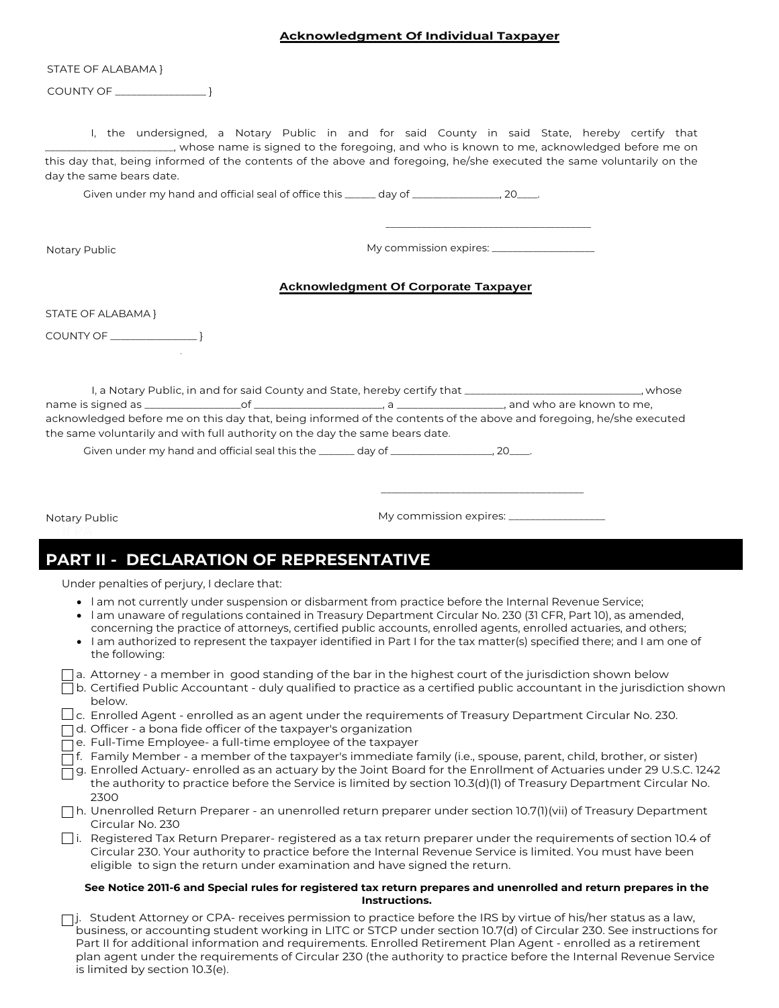### **Acknowledgment Of Individual Taxpayer**

STATE OF ALABAMA }

COUNTY OF \_\_\_\_\_\_\_\_\_\_\_\_\_\_\_\_\_ }

I, the undersigned, a Notary Public in and for said County in said State, hereby certify that \_\_\_\_\_\_\_\_\_\_\_\_\_\_\_\_\_\_\_\_\_\_\_\_, whose name is signed to the foregoing, and who is known to me, acknowledged before me on this day that, being informed of the contents of the above and foregoing, he/she executed the same voluntarily on the day the same bears date.

Given under my hand and official seal of office this \_\_\_\_\_\_ day of \_\_\_\_\_\_\_\_\_\_\_\_\_\_\_, 20\_\_\_\_.

Notary Public

My commission expires: \_\_\_\_\_\_\_\_\_\_\_\_\_\_\_\_\_\_\_\_

 $\overline{\phantom{a}}$  , and the contract of the contract of the contract of  $\overline{\phantom{a}}$ 

#### **Acknowledgment Of Corporate Taxpayer**

STATE OF ALABAMA }

COUNTY OF \_\_\_\_\_\_\_\_\_\_\_\_\_\_\_\_\_ }

I, a Notary Public, in and for said County and State, hereby certify that \_\_\_\_\_\_\_\_\_\_\_\_\_\_\_\_\_\_\_\_\_\_\_\_\_\_\_\_\_\_\_\_, whose name is signed as \_\_\_\_\_\_\_\_\_\_\_\_\_\_\_\_\_\_of \_\_\_\_\_\_\_\_\_\_\_\_\_\_\_\_\_\_\_\_\_\_\_\_, a \_\_\_\_\_\_\_\_\_\_\_\_\_\_\_\_\_\_\_\_, and who are known to me, acknowledged before me on this day that, being informed of the contents of the above and foregoing, he/she executed the same voluntarily and with full authority on the day the same bears date.

Given under my hand and official seal this the \_\_\_\_\_\_ day of \_\_\_\_\_\_\_\_\_\_\_\_\_\_\_\_\_\_, 20\_\_\_\_.

Notary Public

My commission expires: \_\_\_\_\_\_

\_\_\_\_\_\_\_\_\_\_\_\_\_\_\_\_\_\_\_\_\_\_\_\_\_\_\_\_\_\_\_\_\_\_\_\_\_\_

## **PART II - DECLARATION OF REPRESENTATIVE**

Under penalties of perjury, I declare that:

- l am not currently under suspension or disbarment from practice before the Internal Revenue Service;
- l am unaware of regulations contained in Treasury Department Circular No. 230 (31 CFR, Part 10), as amended, concerning the practice of attorneys, certified public accounts, enrolled agents, enrolled actuaries, and others;
- I am authorized to represent the taxpayer identified in Part I for the tax matter(s) specified there; and I am one of the following:

|  |  | ] a. Attorney - a member in good standing of the bar in the highest court of the jurisdiction shown below |
|--|--|-----------------------------------------------------------------------------------------------------------|
|  |  |                                                                                                           |
|  |  |                                                                                                           |

- $\Box$  b. Certified Public Accountant duly qualified to practice as a certified public accountant in the jurisdiction shown below.
- $\Box$ c. Enrolled Agent enrolled as an agent under the requirements of Treasury Department Circular No. 230.
- $\Box$ d. Officer a bona fide officer of the taxpayer's organization
- □ e. Full-Time Employee- a full-time employee of the taxpayer
- $\overline{\Box}$ f. Family Member a member of the taxpayer's immediate family (i.e., spouse, parent, child, brother, or sister)
- $\overline{\Box}$ g. Enrolled Actuary- enrolled as an actuary by the Joint Board for the Enrollment of Actuaries under 29 U.S.C. 1242 the authority to practice before the Service is limited by section 10.3(d)(1) of Treasury Department Circular No. 2300
- h. Unenrolled Return Preparer an unenrolled return preparer under section 10.7(1)(vii) of Treasury Department Circular No. 230
- i. Registered Tax Return Preparer- registered as a tax return preparer under the requirements of section 10.4 of Circular 230. Your authority to practice before the Internal Revenue Service is limited. You must have been eligible to sign the return under examination and have signed the return.

#### **See Notice 2011-6 and Special rules for registered tax return prepares and unenrolled and return prepares in the Instructions.**

□j. Student Attorney or CPA- receives permission to practice before the IRS by virtue of his/her status as a law, business, or accounting student working in LITC or STCP under section 10.7(d) of Circular 230. See instructions for Part II for additional information and requirements. Enrolled Retirement Plan Agent - enrolled as a retirement plan agent under the requirements of Circular 230 (the authority to practice before the Internal Revenue Service is limited by section 10.3(e).